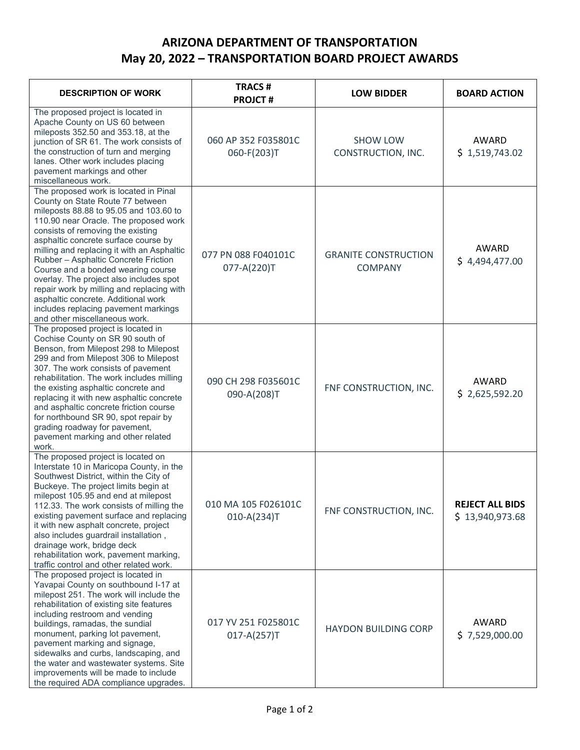## **ARIZONA DEPARTMENT OF TRANSPORTATION May 20, 2022 – TRANSPORTATION BOARD PROJECT AWARDS**

| <b>DESCRIPTION OF WORK</b>                                                                                                                                                                                                                                                                                                                                                                                                                                                                                                                                                    | <b>TRACS#</b><br><b>PROJCT#</b>        | <b>LOW BIDDER</b>                             | <b>BOARD ACTION</b>                       |
|-------------------------------------------------------------------------------------------------------------------------------------------------------------------------------------------------------------------------------------------------------------------------------------------------------------------------------------------------------------------------------------------------------------------------------------------------------------------------------------------------------------------------------------------------------------------------------|----------------------------------------|-----------------------------------------------|-------------------------------------------|
| The proposed project is located in<br>Apache County on US 60 between<br>mileposts 352.50 and 353.18, at the<br>junction of SR 61. The work consists of<br>the construction of turn and merging<br>lanes. Other work includes placing<br>pavement markings and other<br>miscellaneous work.                                                                                                                                                                                                                                                                                    | 060 AP 352 F035801C<br>060-F(203)T     | <b>SHOW LOW</b><br>CONSTRUCTION, INC.         | AWARD<br>\$1,519,743.02                   |
| The proposed work is located in Pinal<br>County on State Route 77 between<br>mileposts 88.88 to 95.05 and 103.60 to<br>110.90 near Oracle. The proposed work<br>consists of removing the existing<br>asphaltic concrete surface course by<br>milling and replacing it with an Asphaltic<br>Rubber - Asphaltic Concrete Friction<br>Course and a bonded wearing course<br>overlay. The project also includes spot<br>repair work by milling and replacing with<br>asphaltic concrete. Additional work<br>includes replacing pavement markings<br>and other miscellaneous work. | 077 PN 088 F040101C<br>077-A(220)T     | <b>GRANITE CONSTRUCTION</b><br><b>COMPANY</b> | AWARD<br>\$4,494,477.00                   |
| The proposed project is located in<br>Cochise County on SR 90 south of<br>Benson, from Milepost 298 to Milepost<br>299 and from Milepost 306 to Milepost<br>307. The work consists of pavement<br>rehabilitation. The work includes milling<br>the existing asphaltic concrete and<br>replacing it with new asphaltic concrete<br>and asphaltic concrete friction course<br>for northbound SR 90, spot repair by<br>grading roadway for pavement,<br>pavement marking and other related<br>work.                                                                              | 090 CH 298 F035601C<br>090-A(208)T     | FNF CONSTRUCTION, INC.                        | AWARD<br>\$2,625,592.20                   |
| The proposed project is located on<br>Interstate 10 in Maricopa County, in the<br>Southwest District, within the City of<br>Buckeye. The project limits begin at<br>milepost 105.95 and end at milepost<br>112.33. The work consists of milling the<br>existing pavement surface and replacing<br>it with new asphalt concrete, project<br>also includes guardrail installation,<br>drainage work, bridge deck<br>rehabilitation work, pavement marking,<br>traffic control and other related work.                                                                           | 010 MA 105 F026101C<br>$010-A(234)T$   | FNF CONSTRUCTION, INC.                        | <b>REJECT ALL BIDS</b><br>\$13,940,973.68 |
| The proposed project is located in<br>Yavapai County on southbound I-17 at<br>milepost 251. The work will include the<br>rehabilitation of existing site features<br>including restroom and vending<br>buildings, ramadas, the sundial<br>monument, parking lot pavement,<br>pavement marking and signage,<br>sidewalks and curbs, landscaping, and<br>the water and wastewater systems. Site<br>improvements will be made to include<br>the required ADA compliance upgrades.                                                                                                | 017 YV 251 F025801C<br>$017 - A(257)T$ | <b>HAYDON BUILDING CORP</b>                   | <b>AWARD</b><br>\$7,529,000.00            |